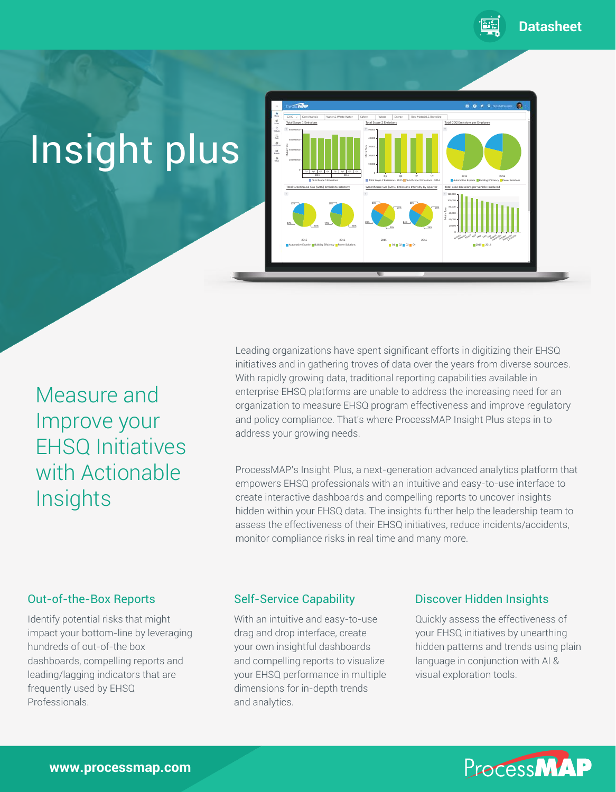

# Insight plus



Measure and Improve your EHSQ Initiatives with Actionable **Insights** 

Leading organizations have spent significant efforts in digitizing their EHSQ initiatives and in gathering troves of data over the years from diverse sources. With rapidly growing data, traditional reporting capabilities available in enterprise EHSQ platforms are unable to address the increasing need for an organization to measure EHSQ program effectiveness and improve regulatory and policy compliance. That's where ProcessMAP Insight Plus steps in to address your growing needs.

ProcessMAP's Insight Plus, a next-generation advanced analytics platform that empowers EHSQ professionals with an intuitive and easy-to-use interface to create interactive dashboards and compelling reports to uncover insights hidden within your EHSQ data. The insights further help the leadership team to assess the effectiveness of their EHSQ initiatives, reduce incidents/accidents, monitor compliance risks in real time and many more.

Identify potential risks that might impact your bottom-line by leveraging hundreds of out-of-the box dashboards, compelling reports and leading/lagging indicators that are frequently used by EHSQ Professionals.

With an intuitive and easy-to-use drag and drop interface, create your own insightful dashboards and compelling reports to visualize your EHSQ performance in multiple dimensions for in-depth trends and analytics.

### Out-of-the-Box Reports Self-Service Capability Discover Hidden Insights

Quickly assess the effectiveness of your EHSQ initiatives by unearthing hidden patterns and trends using plain language in conjunction with AI & visual exploration tools.